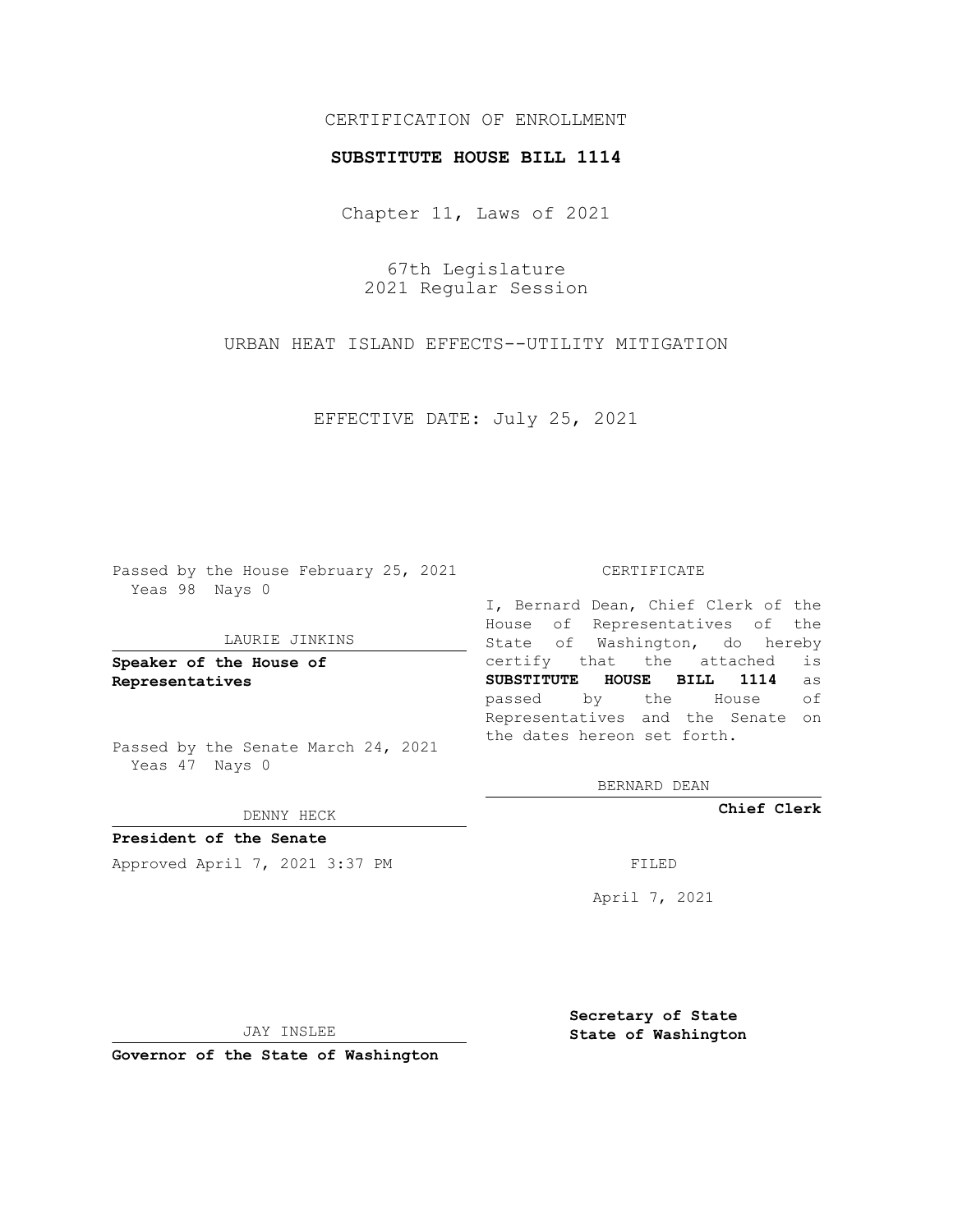# CERTIFICATION OF ENROLLMENT

## **SUBSTITUTE HOUSE BILL 1114**

Chapter 11, Laws of 2021

67th Legislature 2021 Regular Session

URBAN HEAT ISLAND EFFECTS--UTILITY MITIGATION

EFFECTIVE DATE: July 25, 2021

Passed by the House February 25, 2021 Yeas 98 Nays 0

#### LAURIE JINKINS

**Speaker of the House of Representatives**

Passed by the Senate March 24, 2021 Yeas 47 Nays 0

DENNY HECK

**President of the Senate** Approved April 7, 2021 3:37 PM

CERTIFICATE

I, Bernard Dean, Chief Clerk of the House of Representatives of the State of Washington, do hereby certify that the attached is **SUBSTITUTE HOUSE BILL 1114** as passed by the House of Representatives and the Senate on the dates hereon set forth.

BERNARD DEAN

**Chief Clerk**

April 7, 2021

JAY INSLEE

**Governor of the State of Washington**

**Secretary of State State of Washington**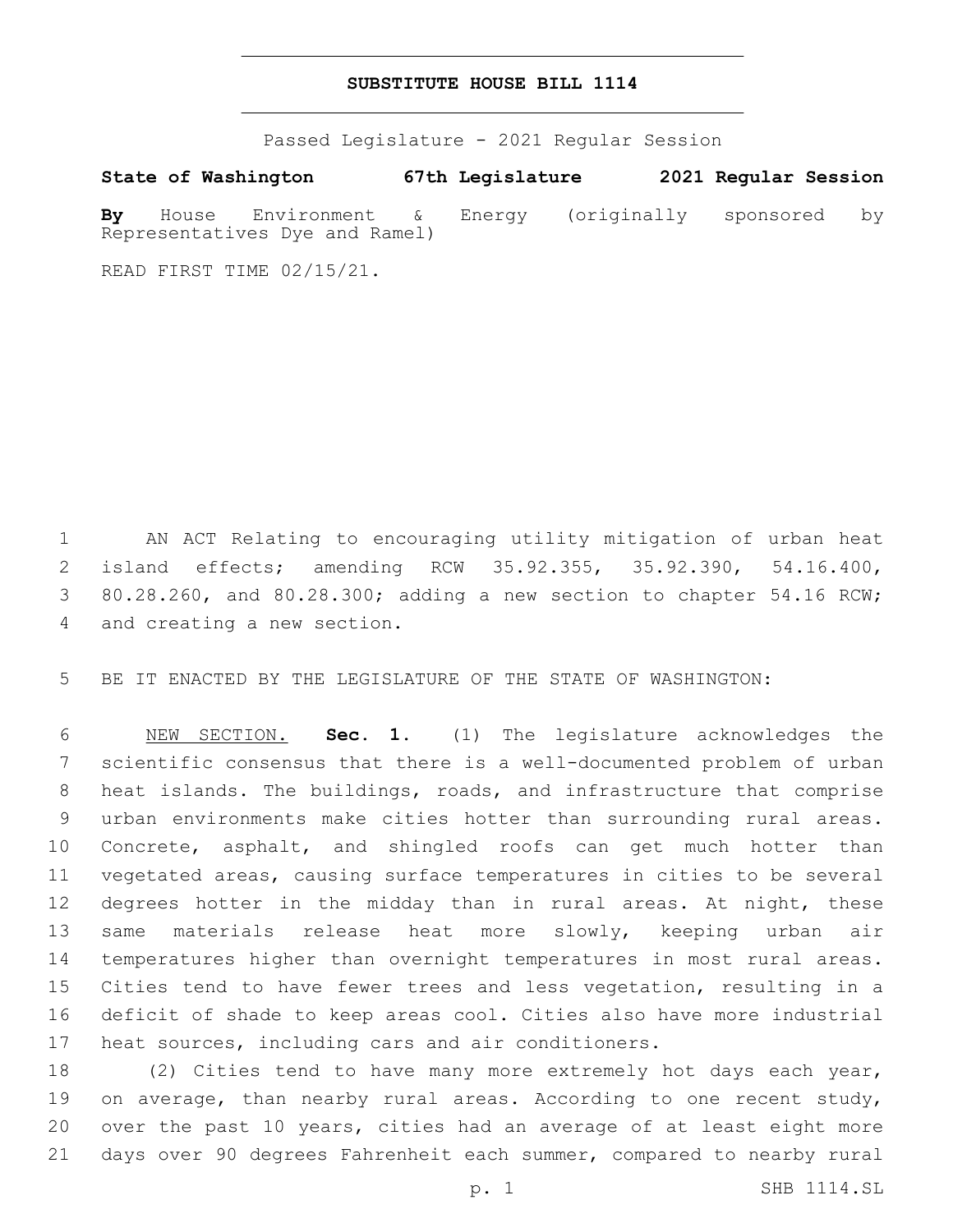## **SUBSTITUTE HOUSE BILL 1114**

Passed Legislature - 2021 Regular Session

**State of Washington 67th Legislature 2021 Regular Session By** House Environment & Energy (originally sponsored by Representatives Dye and Ramel)

READ FIRST TIME 02/15/21.

 AN ACT Relating to encouraging utility mitigation of urban heat island effects; amending RCW 35.92.355, 35.92.390, 54.16.400, 80.28.260, and 80.28.300; adding a new section to chapter 54.16 RCW; 4 and creating a new section.

BE IT ENACTED BY THE LEGISLATURE OF THE STATE OF WASHINGTON:

 NEW SECTION. **Sec. 1.** (1) The legislature acknowledges the scientific consensus that there is a well-documented problem of urban heat islands. The buildings, roads, and infrastructure that comprise urban environments make cities hotter than surrounding rural areas. Concrete, asphalt, and shingled roofs can get much hotter than vegetated areas, causing surface temperatures in cities to be several 12 degrees hotter in the midday than in rural areas. At night, these 13 same materials release heat more slowly, keeping urban air temperatures higher than overnight temperatures in most rural areas. Cities tend to have fewer trees and less vegetation, resulting in a deficit of shade to keep areas cool. Cities also have more industrial heat sources, including cars and air conditioners.

 (2) Cities tend to have many more extremely hot days each year, 19 on average, than nearby rural areas. According to one recent study, over the past 10 years, cities had an average of at least eight more days over 90 degrees Fahrenheit each summer, compared to nearby rural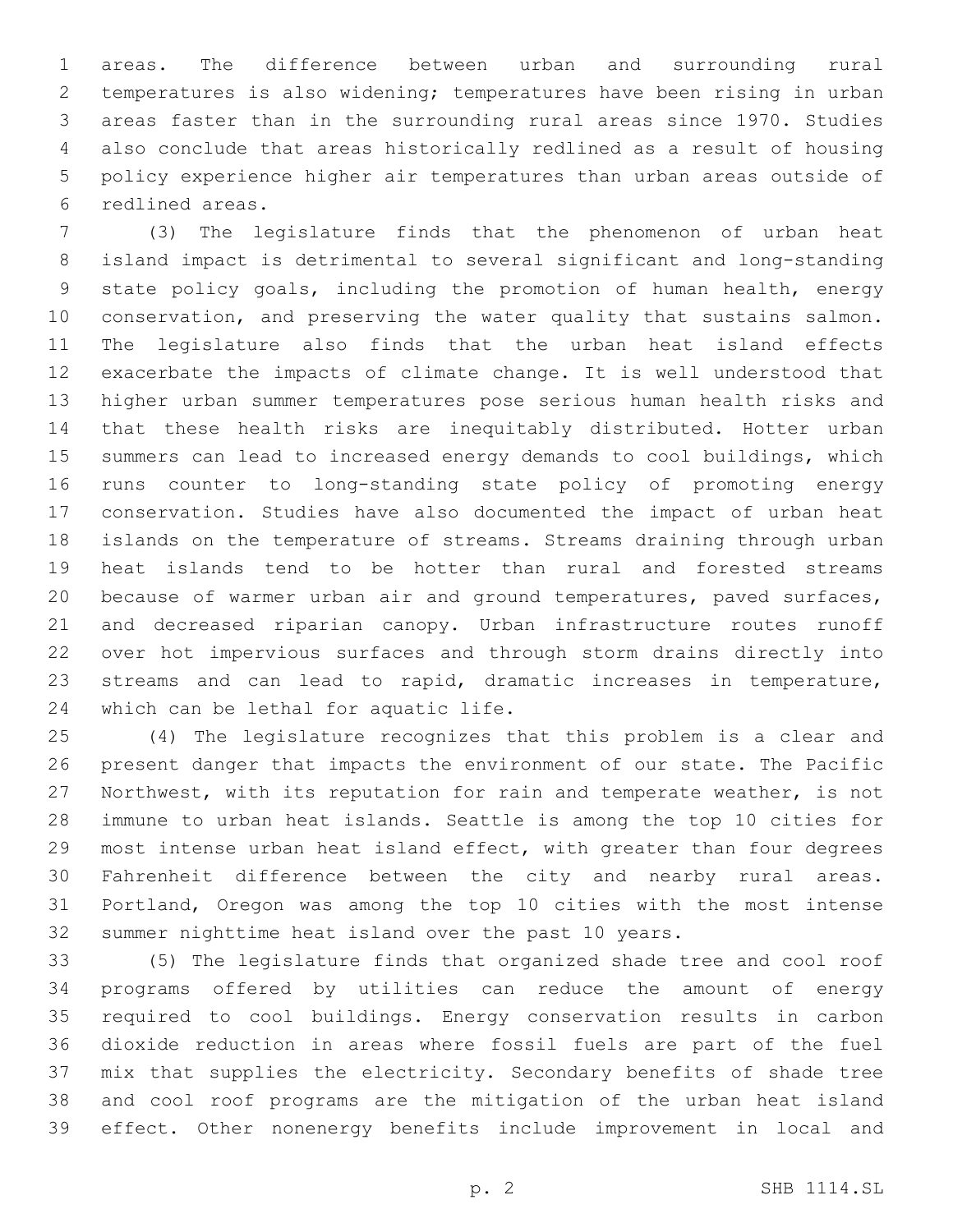areas. The difference between urban and surrounding rural temperatures is also widening; temperatures have been rising in urban areas faster than in the surrounding rural areas since 1970. Studies also conclude that areas historically redlined as a result of housing policy experience higher air temperatures than urban areas outside of redlined areas.6

 (3) The legislature finds that the phenomenon of urban heat island impact is detrimental to several significant and long-standing state policy goals, including the promotion of human health, energy 10 conservation, and preserving the water quality that sustains salmon. The legislature also finds that the urban heat island effects exacerbate the impacts of climate change. It is well understood that higher urban summer temperatures pose serious human health risks and that these health risks are inequitably distributed. Hotter urban summers can lead to increased energy demands to cool buildings, which runs counter to long-standing state policy of promoting energy conservation. Studies have also documented the impact of urban heat islands on the temperature of streams. Streams draining through urban heat islands tend to be hotter than rural and forested streams because of warmer urban air and ground temperatures, paved surfaces, and decreased riparian canopy. Urban infrastructure routes runoff over hot impervious surfaces and through storm drains directly into streams and can lead to rapid, dramatic increases in temperature, 24 which can be lethal for aquatic life.

 (4) The legislature recognizes that this problem is a clear and present danger that impacts the environment of our state. The Pacific Northwest, with its reputation for rain and temperate weather, is not immune to urban heat islands. Seattle is among the top 10 cities for most intense urban heat island effect, with greater than four degrees Fahrenheit difference between the city and nearby rural areas. Portland, Oregon was among the top 10 cities with the most intense summer nighttime heat island over the past 10 years.

 (5) The legislature finds that organized shade tree and cool roof programs offered by utilities can reduce the amount of energy required to cool buildings. Energy conservation results in carbon dioxide reduction in areas where fossil fuels are part of the fuel mix that supplies the electricity. Secondary benefits of shade tree and cool roof programs are the mitigation of the urban heat island effect. Other nonenergy benefits include improvement in local and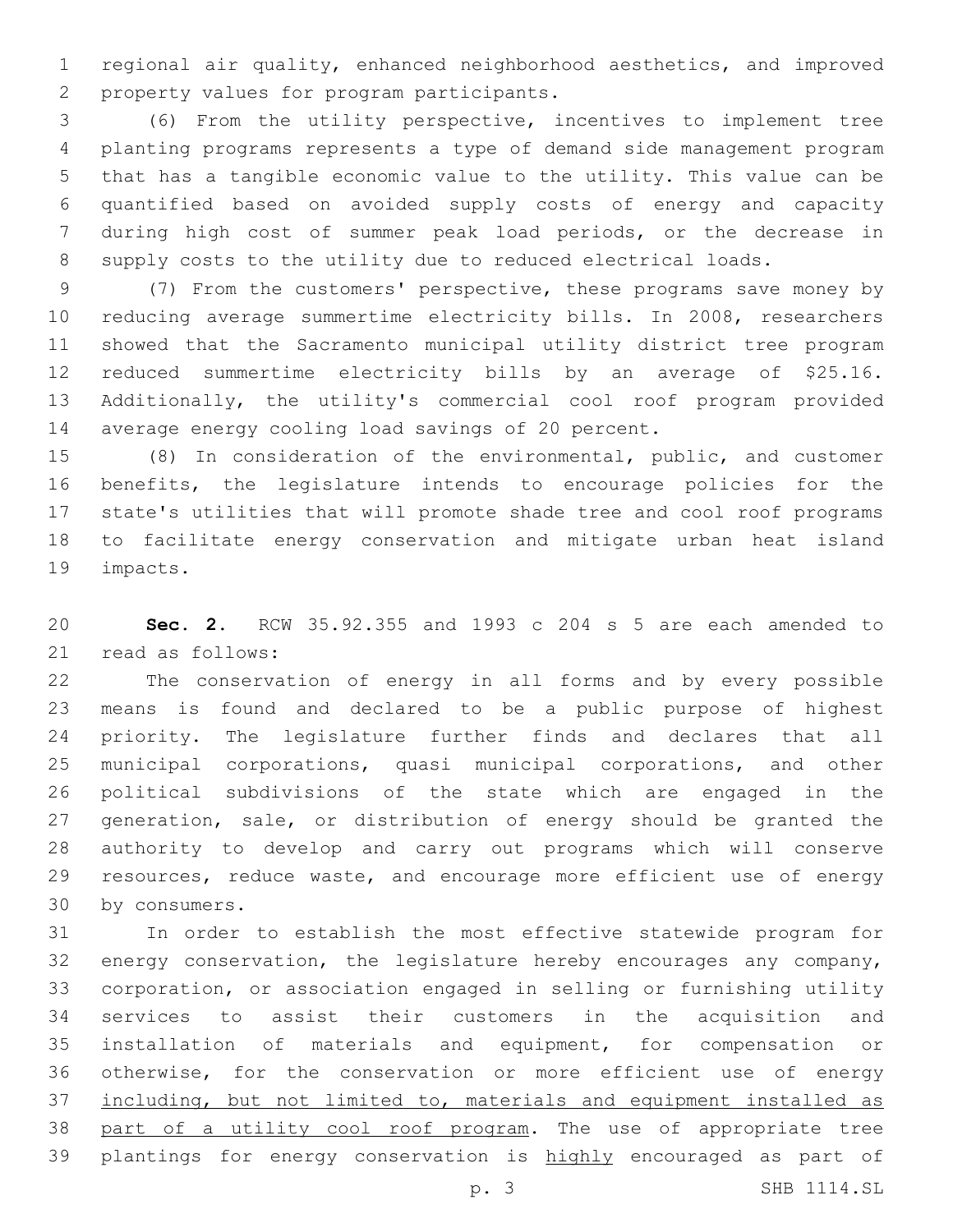regional air quality, enhanced neighborhood aesthetics, and improved 2 property values for program participants.

 (6) From the utility perspective, incentives to implement tree planting programs represents a type of demand side management program that has a tangible economic value to the utility. This value can be quantified based on avoided supply costs of energy and capacity during high cost of summer peak load periods, or the decrease in supply costs to the utility due to reduced electrical loads.

 (7) From the customers' perspective, these programs save money by reducing average summertime electricity bills. In 2008, researchers showed that the Sacramento municipal utility district tree program reduced summertime electricity bills by an average of \$25.16. Additionally, the utility's commercial cool roof program provided average energy cooling load savings of 20 percent.

 (8) In consideration of the environmental, public, and customer benefits, the legislature intends to encourage policies for the state's utilities that will promote shade tree and cool roof programs to facilitate energy conservation and mitigate urban heat island 19 impacts.

 **Sec. 2.** RCW 35.92.355 and 1993 c 204 s 5 are each amended to 21 read as follows:

 The conservation of energy in all forms and by every possible means is found and declared to be a public purpose of highest priority. The legislature further finds and declares that all municipal corporations, quasi municipal corporations, and other political subdivisions of the state which are engaged in the 27 generation, sale, or distribution of energy should be granted the authority to develop and carry out programs which will conserve 29 resources, reduce waste, and encourage more efficient use of energy 30 by consumers.

 In order to establish the most effective statewide program for energy conservation, the legislature hereby encourages any company, corporation, or association engaged in selling or furnishing utility services to assist their customers in the acquisition and installation of materials and equipment, for compensation or otherwise, for the conservation or more efficient use of energy including, but not limited to, materials and equipment installed as part of a utility cool roof program. The use of appropriate tree 39 plantings for energy conservation is highly encouraged as part of p. 3 SHB 1114.SL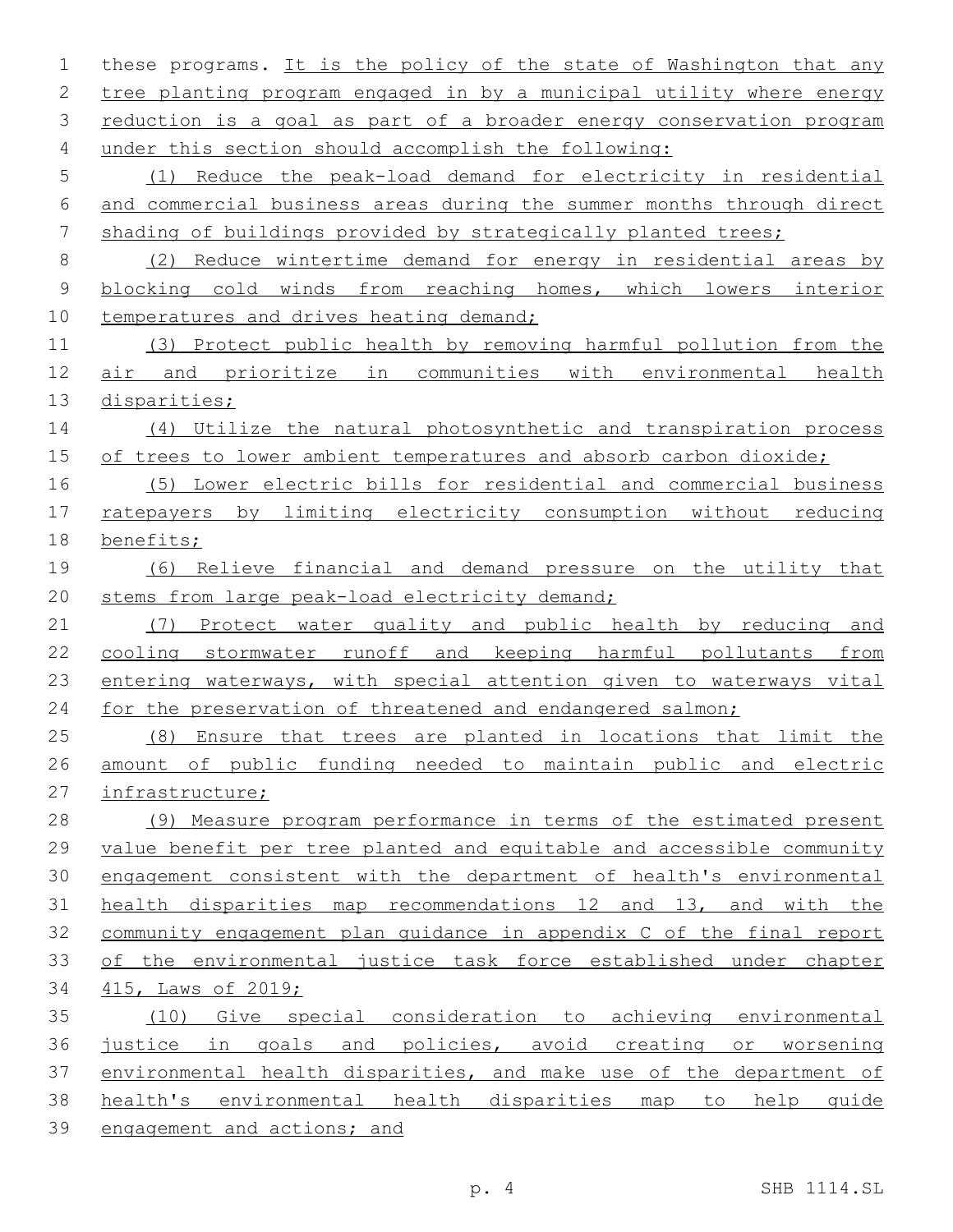| 1           | these programs. It is the policy of the state of Washington that any  |
|-------------|-----------------------------------------------------------------------|
| 2           | tree planting program engaged in by a municipal utility where energy  |
| 3           | reduction is a goal as part of a broader energy conservation program  |
| 4           | under this section should accomplish the following:                   |
| 5           | (1) Reduce the peak-load demand for electricity in residential        |
| 6           | and commercial business areas during the summer months through direct |
| 7           | shading of buildings provided by strategically planted trees;         |
| 8           | (2) Reduce wintertime demand for energy in residential areas by       |
| $\mathsf 9$ | blocking cold winds from reaching homes, which lowers interior        |
| 10          | temperatures and drives heating demand;                               |
| 11          | (3) Protect public health by removing harmful pollution from the      |
| 12          | air and prioritize in communities with environmental health           |
| 13          | disparities;                                                          |
| 14          | (4) Utilize the natural photosynthetic and transpiration process      |
| 15          | of trees to lower ambient temperatures and absorb carbon dioxide;     |
| 16          | (5) Lower electric bills for residential and commercial business      |
| 17          | ratepayers by limiting electricity consumption without reducing       |
| 18          | benefits;                                                             |
| 19          | (6) Relieve financial and demand pressure on the utility that         |
| 20          | stems from large peak-load electricity demand;                        |
| 21          | (7) Protect water quality and public health by reducing and           |
| 22          | cooling stormwater runoff and keeping harmful pollutants<br>from      |
| 23          | entering waterways, with special attention given to waterways vital   |
| 24          | for the preservation of threatened and endangered salmon;             |
| 25          | (8) Ensure that trees are planted in locations that limit the         |
| 26          | amount of public funding needed to maintain public and electric       |
| 27          | infrastructure;                                                       |
| 28          | (9) Measure program performance in terms of the estimated present     |
| 29          | value benefit per tree planted and equitable and accessible community |
| 30          | engagement consistent with the department of health's environmental   |
| 31          | health disparities map recommendations 12 and 13, and with the        |
| 32          | community engagement plan quidance in appendix C of the final report  |
| 33          | of the environmental justice task force established under chapter     |
| 34          | 415, Laws of 2019;                                                    |
| 35          | (10) Give special consideration to achieving environmental            |
| 36          | justice in goals and policies, avoid creating or worsening            |
| 37          | environmental health disparities, and make use of the department of   |
| 38          | health's environmental health disparities map to help quide           |
| 39          | engagement and actions; and                                           |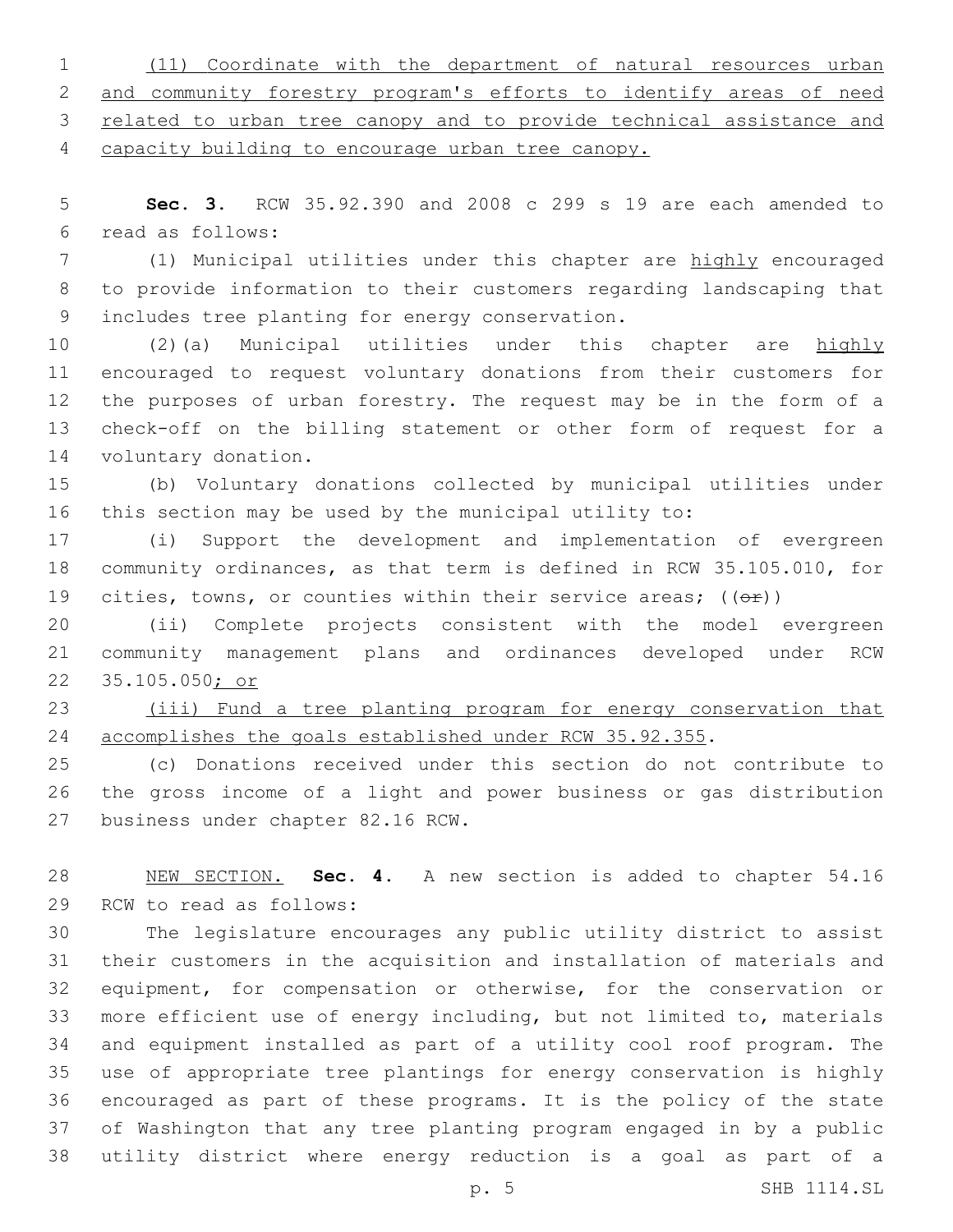(11) Coordinate with the department of natural resources urban and community forestry program's efforts to identify areas of need related to urban tree canopy and to provide technical assistance and capacity building to encourage urban tree canopy.

 **Sec. 3.** RCW 35.92.390 and 2008 c 299 s 19 are each amended to read as follows:6

 (1) Municipal utilities under this chapter are highly encouraged to provide information to their customers regarding landscaping that 9 includes tree planting for energy conservation.

 (2)(a) Municipal utilities under this chapter are highly encouraged to request voluntary donations from their customers for the purposes of urban forestry. The request may be in the form of a check-off on the billing statement or other form of request for a 14 voluntary donation.

 (b) Voluntary donations collected by municipal utilities under this section may be used by the municipal utility to:

 (i) Support the development and implementation of evergreen community ordinances, as that term is defined in RCW 35.105.010, for 19 cities, towns, or counties within their service areas;  $((\theta \cdot \hat{r}))$ 

 (ii) Complete projects consistent with the model evergreen community management plans and ordinances developed under RCW 35.105.050; or

 (iii) Fund a tree planting program for energy conservation that accomplishes the goals established under RCW 35.92.355.

 (c) Donations received under this section do not contribute to the gross income of a light and power business or gas distribution 27 business under chapter 82.16 RCW.

 NEW SECTION. **Sec. 4.** A new section is added to chapter 54.16 29 RCW to read as follows:

 The legislature encourages any public utility district to assist their customers in the acquisition and installation of materials and equipment, for compensation or otherwise, for the conservation or more efficient use of energy including, but not limited to, materials and equipment installed as part of a utility cool roof program. The use of appropriate tree plantings for energy conservation is highly encouraged as part of these programs. It is the policy of the state of Washington that any tree planting program engaged in by a public utility district where energy reduction is a goal as part of a

p. 5 SHB 1114.SL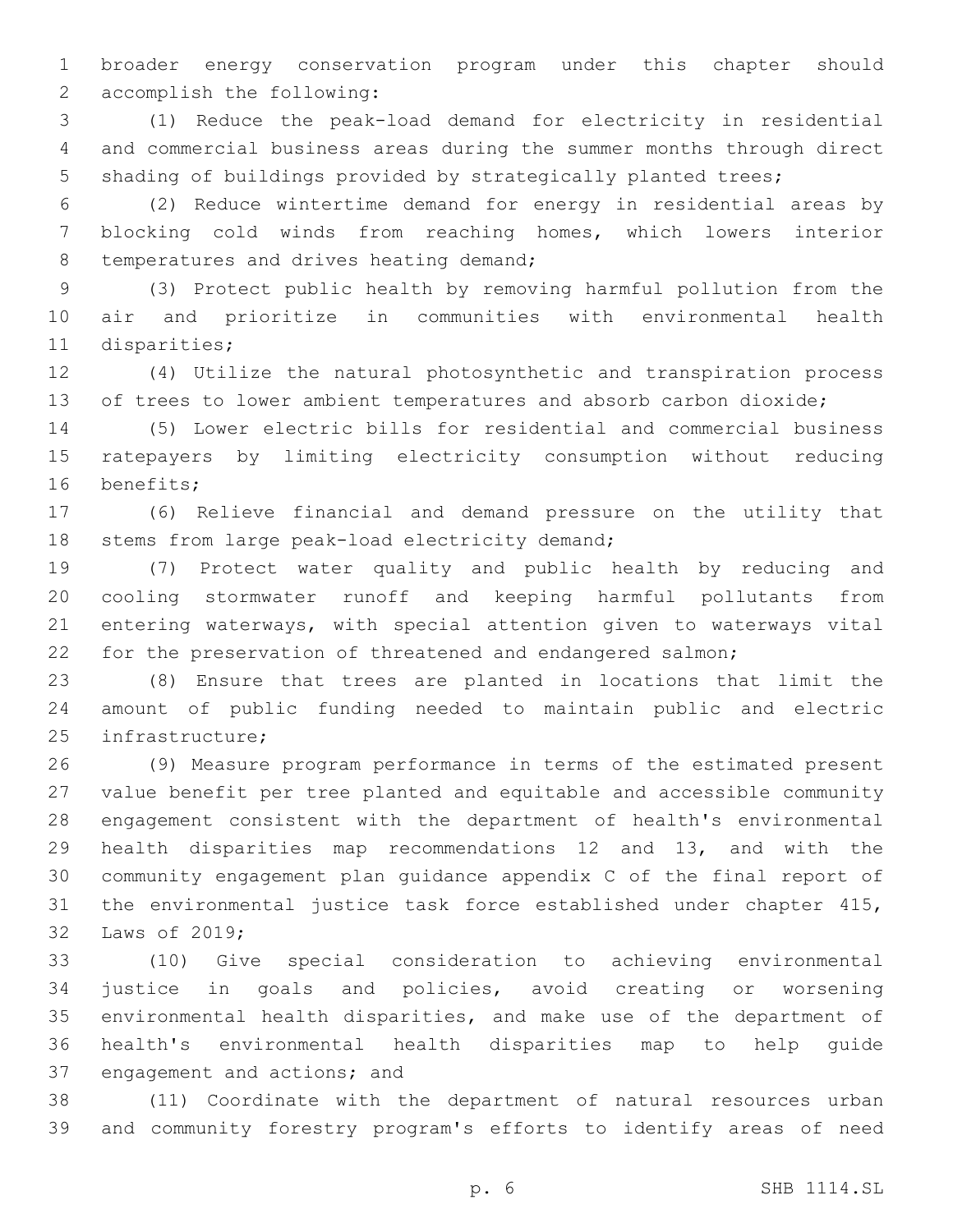broader energy conservation program under this chapter should 2 accomplish the following:

 (1) Reduce the peak-load demand for electricity in residential and commercial business areas during the summer months through direct shading of buildings provided by strategically planted trees;

 (2) Reduce wintertime demand for energy in residential areas by blocking cold winds from reaching homes, which lowers interior 8 temperatures and drives heating demand;

 (3) Protect public health by removing harmful pollution from the air and prioritize in communities with environmental health 11 disparities;

 (4) Utilize the natural photosynthetic and transpiration process 13 of trees to lower ambient temperatures and absorb carbon dioxide;

 (5) Lower electric bills for residential and commercial business ratepayers by limiting electricity consumption without reducing 16 benefits;

 (6) Relieve financial and demand pressure on the utility that 18 stems from large peak-load electricity demand;

 (7) Protect water quality and public health by reducing and cooling stormwater runoff and keeping harmful pollutants from entering waterways, with special attention given to waterways vital for the preservation of threatened and endangered salmon;

 (8) Ensure that trees are planted in locations that limit the amount of public funding needed to maintain public and electric 25 infrastructure;

 (9) Measure program performance in terms of the estimated present value benefit per tree planted and equitable and accessible community engagement consistent with the department of health's environmental health disparities map recommendations 12 and 13, and with the community engagement plan guidance appendix C of the final report of the environmental justice task force established under chapter 415, 32 Laws of 2019;

 (10) Give special consideration to achieving environmental justice in goals and policies, avoid creating or worsening environmental health disparities, and make use of the department of health's environmental health disparities map to help guide 37 engagement and actions; and

 (11) Coordinate with the department of natural resources urban and community forestry program's efforts to identify areas of need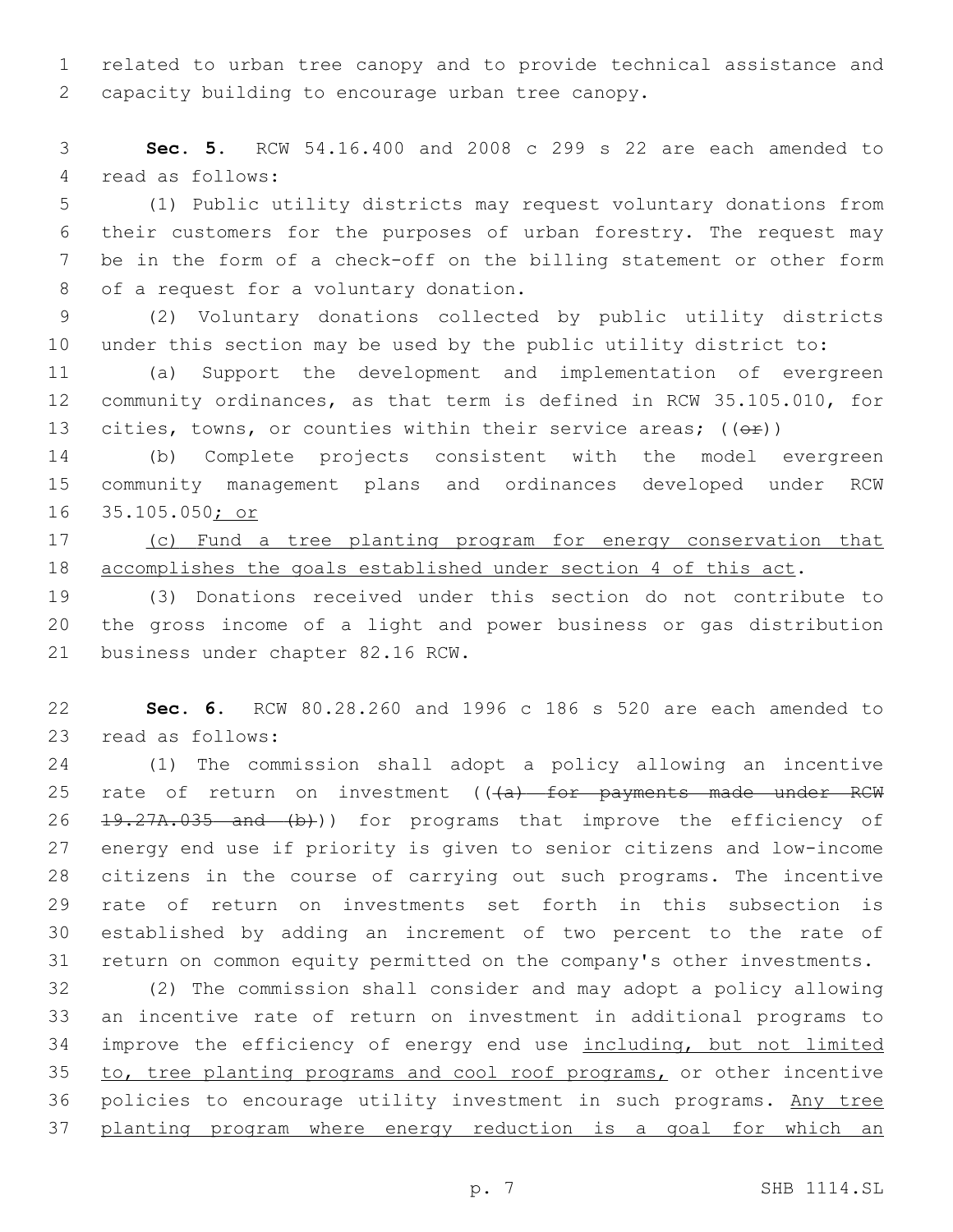related to urban tree canopy and to provide technical assistance and 2 capacity building to encourage urban tree canopy.

 **Sec. 5.** RCW 54.16.400 and 2008 c 299 s 22 are each amended to 4 read as follows:

 (1) Public utility districts may request voluntary donations from their customers for the purposes of urban forestry. The request may be in the form of a check-off on the billing statement or other form 8 of a request for a voluntary donation.

 (2) Voluntary donations collected by public utility districts under this section may be used by the public utility district to:

 (a) Support the development and implementation of evergreen community ordinances, as that term is defined in RCW 35.105.010, for 13 cities, towns, or counties within their service areas;  $((\theta \cdot \hat{r}))$ 

 (b) Complete projects consistent with the model evergreen community management plans and ordinances developed under RCW 35.105.050; or

 (c) Fund a tree planting program for energy conservation that accomplishes the goals established under section 4 of this act.

 (3) Donations received under this section do not contribute to the gross income of a light and power business or gas distribution 21 business under chapter 82.16 RCW.

 **Sec. 6.** RCW 80.28.260 and 1996 c 186 s 520 are each amended to 23 read as follows:

 (1) The commission shall adopt a policy allowing an incentive 25 rate of return on investment (((a) for payments made under RCW 26 <del>19.27A.035 and (b)</del>)) for programs that improve the efficiency of energy end use if priority is given to senior citizens and low-income citizens in the course of carrying out such programs. The incentive rate of return on investments set forth in this subsection is established by adding an increment of two percent to the rate of return on common equity permitted on the company's other investments.

 (2) The commission shall consider and may adopt a policy allowing an incentive rate of return on investment in additional programs to improve the efficiency of energy end use including, but not limited 35 to, tree planting programs and cool roof programs, or other incentive 36 policies to encourage utility investment in such programs. Any tree planting program where energy reduction is a goal for which an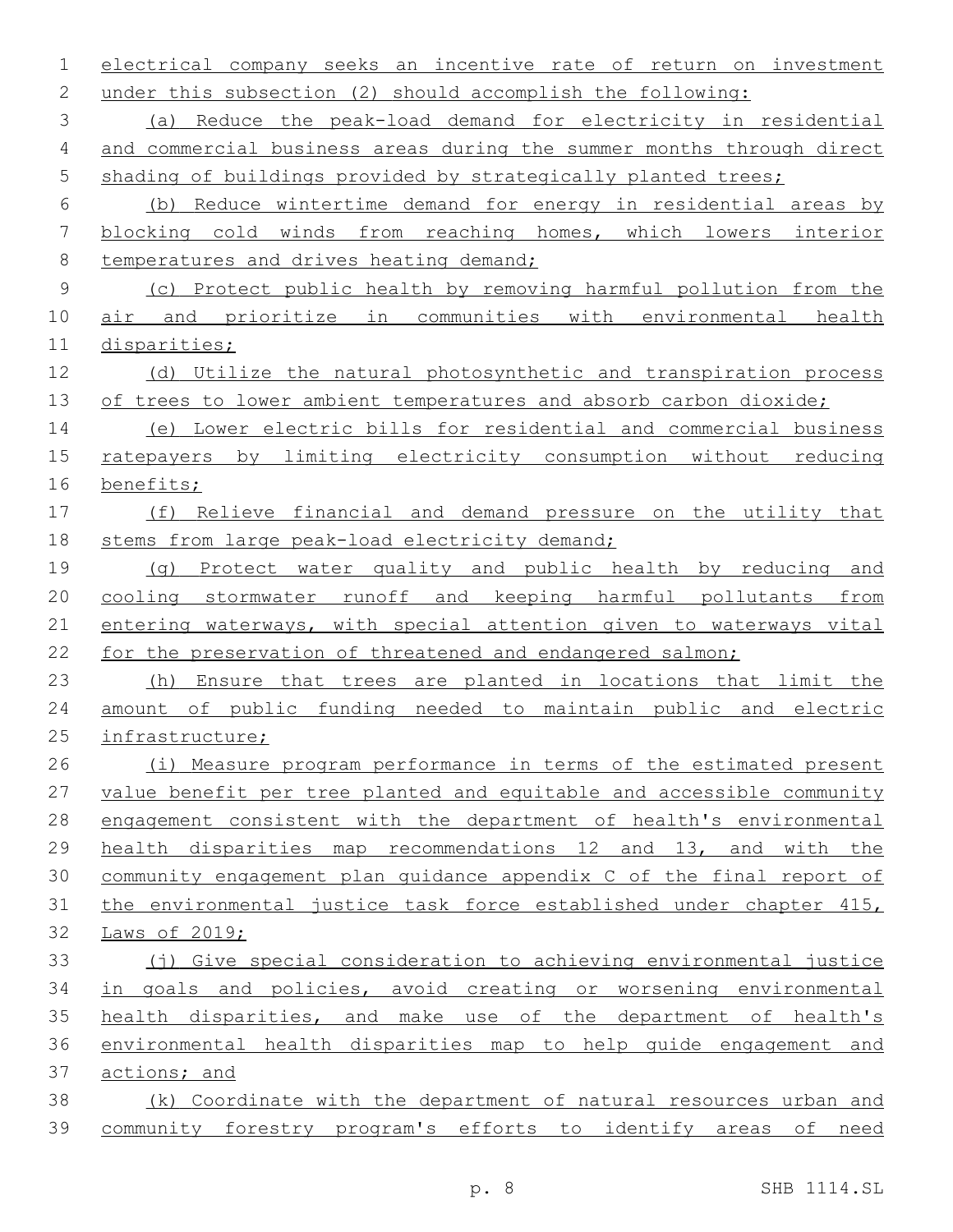electrical company seeks an incentive rate of return on investment under this subsection (2) should accomplish the following: (a) Reduce the peak-load demand for electricity in residential and commercial business areas during the summer months through direct 5 shading of buildings provided by strategically planted trees; (b) Reduce wintertime demand for energy in residential areas by blocking cold winds from reaching homes, which lowers interior 8 temperatures and drives heating demand; (c) Protect public health by removing harmful pollution from the air and prioritize in communities with environmental health disparities; (d) Utilize the natural photosynthetic and transpiration process 13 of trees to lower ambient temperatures and absorb carbon dioxide; (e) Lower electric bills for residential and commercial business ratepayers by limiting electricity consumption without reducing benefits; (f) Relieve financial and demand pressure on the utility that 18 stems from large peak-load electricity demand; (g) Protect water quality and public health by reducing and cooling stormwater runoff and keeping harmful pollutants from entering waterways, with special attention given to waterways vital 22 for the preservation of threatened and endangered salmon; (h) Ensure that trees are planted in locations that limit the amount of public funding needed to maintain public and electric infrastructure; (i) Measure program performance in terms of the estimated present value benefit per tree planted and equitable and accessible community engagement consistent with the department of health's environmental health disparities map recommendations 12 and 13, and with the community engagement plan guidance appendix C of the final report of the environmental justice task force established under chapter 415, Laws of 2019; (j) Give special consideration to achieving environmental justice in goals and policies, avoid creating or worsening environmental health disparities, and make use of the department of health's environmental health disparities map to help guide engagement and actions; and (k) Coordinate with the department of natural resources urban and community forestry program's efforts to identify areas of need